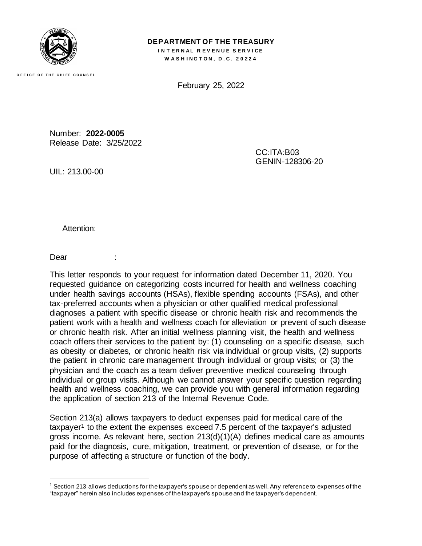

**O F F I C E O F T H E C H I E F C O U N S E L**

**DEPARTMENT OF THE TREASURY INTERNAL REVENUE SERVICE W A S H I N G T O N , D . C . 2 0 2 2 4**

February 25, 2022

Number: **2022-0005** Release Date: 3/25/2022

> CC:ITA:B03 GENIN-128306-20

UIL: 213.00-00

Attention:

Dear

This letter responds to your request for information dated December 11, 2020. You requested guidance on categorizing costs incurred for health and wellness coaching under health savings accounts (HSAs), flexible spending accounts (FSAs), and other tax-preferred accounts when a physician or other qualified medical professional diagnoses a patient with specific disease or chronic health risk and recommends the patient work with a health and wellness coach for alleviation or prevent of such disease or chronic health risk. After an initial wellness planning visit, the health and wellness coach offers their services to the patient by: (1) counseling on a specific disease, such as obesity or diabetes, or chronic health risk via individual or group visits, (2) supports the patient in chronic care management through individual or group visits; or (3) the physician and the coach as a team deliver preventive medical counseling through individual or group visits. Although we cannot answer your specific question regarding health and wellness coaching, we can provide you with general information regarding the application of section 213 of the Internal Revenue Code.

Section 213(a) allows taxpayers to deduct expenses paid for medical care of the taxpayer<sup>1</sup> to the extent the expenses exceed 7.5 percent of the taxpayer's adjusted gross income. As relevant here, section 213(d)(1)(A) defines medical care as amounts paid for the diagnosis, cure, mitigation, treatment, or prevention of disease, or for the purpose of affecting a structure or function of the body.

 $1$  Section 213 allows deductions for the taxpayer's spouse or dependent as well. Any reference to expenses of the "taxpayer" herein also includes expenses of the taxpayer's spouse and the taxpayer's dependent.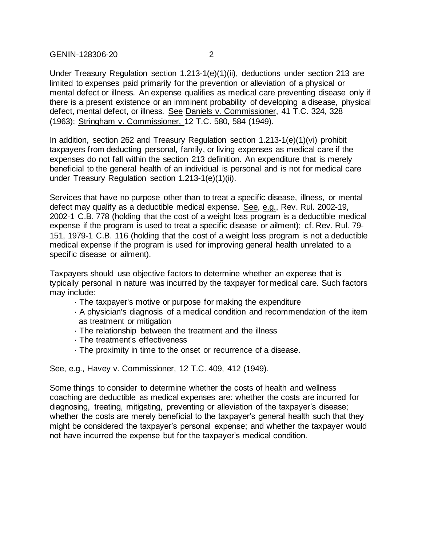GENIN-128306-20 2

Under Treasury Regulation section 1.213-1(e)(1)(ii), deductions under section 213 are limited to expenses paid primarily for the prevention or alleviation of a physical or mental defect or illness. An expense qualifies as medical care preventing disease only if there is a present existence or an imminent probability of developing a disease, physical defect, mental defect, or illness. See Daniels v. Commissioner, 41 T.C. 324, 328 (1963); Stringham v. Commissioner, 12 T.C. 580, 584 (1949).

In addition, section 262 and Treasury Regulation section  $1.213-1(e)(1)(vi)$  prohibit taxpayers from deducting personal, family, or living expenses as medical care if the expenses do not fall within the section 213 definition. An expenditure that is merely beneficial to the general health of an individual is personal and is not for medical care under Treasury Regulation section 1.213-1(e)(1)(ii).

Services that have no purpose other than to treat a specific disease, illness, or mental defect may qualify as a deductible medical expense. See, e.g., Rev. Rul. 2002-19, 2002-1 C.B. 778 (holding that the cost of a weight loss program is a deductible medical expense if the program is used to treat a specific disease or ailment); cf. Rev. Rul. 79- 151, 1979-1 C.B. 116 (holding that the cost of a weight loss program is not a deductible medical expense if the program is used for improving general health unrelated to a specific disease or ailment).

Taxpayers should use objective factors to determine whether an expense that is typically personal in nature was incurred by the taxpayer for medical care. Such factors may include:

- · The taxpayer's motive or purpose for making the expenditure
- · A physician's diagnosis of a medical condition and recommendation of the item as treatment or mitigation
- · The relationship between the treatment and the illness
- · The treatment's effectiveness
- · The proximity in time to the onset or recurrence of a disease.

See, e.g., Havey v. Commissioner, 12 T.C. 409, 412 (1949).

Some things to consider to determine whether the costs of health and wellness coaching are deductible as medical expenses are: whether the costs are incurred for diagnosing, treating, mitigating, preventing or alleviation of the taxpayer's disease; whether the costs are merely beneficial to the taxpayer's general health such that they might be considered the taxpayer's personal expense; and whether the taxpayer would not have incurred the expense but for the taxpayer's medical condition.